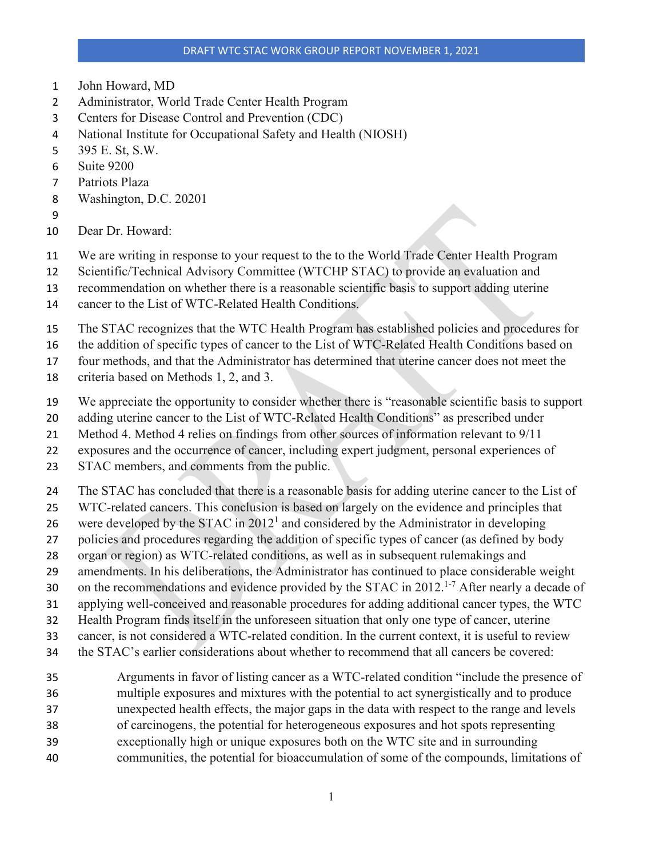- John Howard, MD
- Administrator, World Trade Center Health Program
- Centers for Disease Control and Prevention (CDC)
- National Institute for Occupational Safety and Health (NIOSH)
- 395 E. St, S.W.
- Suite 9200
- Patriots Plaza
- Washington, D.C. 20201
- 
- Dear Dr. Howard:
- We are writing in response to your request to the to the World Trade Center Health Program
- Scientific/Technical Advisory Committee (WTCHP STAC) to provide an evaluation and
- recommendation on whether there is a reasonable scientific basis to support adding uterine
- cancer to the List of WTC-Related Health Conditions.
- The STAC recognizes that the WTC Health Program has established policies and procedures for
- the addition of specific types of cancer to the List of WTC-Related Health Conditions based on
- four methods, and that the Administrator has determined that uterine cancer does not meet the
- criteria based on Methods 1, 2, and 3.
- We appreciate the opportunity to consider whether there is "reasonable scientific basis to support
- adding uterine cancer to the List of WTC-Related Health Conditions" as prescribed under
- Method 4. Method 4 relies on findings from other sources of information relevant to 9/11
- exposures and the occurrence of cancer, including expert judgment, personal experiences of
- 23 STAC members, and comments from the public.
- 24 The STAC has concluded that there is a reasonable basis for adding uterine cancer to the List of
- WTC-related cancers. This conclusion is based on largely on the evidence and principles that
- 26 were developed by the STAC in  $2012<sup>1</sup>$  and considered by the Administrator in developing
- policies and procedures regarding the addition of specific types of cancer (as defined by body
- organ or region) as WTC-related conditions, as well as in subsequent rulemakings and
- amendments. In his deliberations, the Administrator has continued to place considerable weight
- 30 on the recommendations and evidence provided by the STAC in 2012.<sup>1-7</sup> After nearly a decade of
- applying well-conceived and reasonable procedures for adding additional cancer types, the WTC
- Health Program finds itself in the unforeseen situation that only one type of cancer, uterine
- cancer, is not considered a WTC-related condition. In the current context, it is useful to review
- the STAC's earlier considerations about whether to recommend that all cancers be covered:
- Arguments in favor of listing cancer as a WTC-related condition "include the presence of multiple exposures and mixtures with the potential to act synergistically and to produce
- unexpected health effects, the major gaps in the data with respect to the range and levels
- of carcinogens, the potential for heterogeneous exposures and hot spots representing
- exceptionally high or unique exposures both on the WTC site and in surrounding
- communities, the potential for bioaccumulation of some of the compounds, limitations of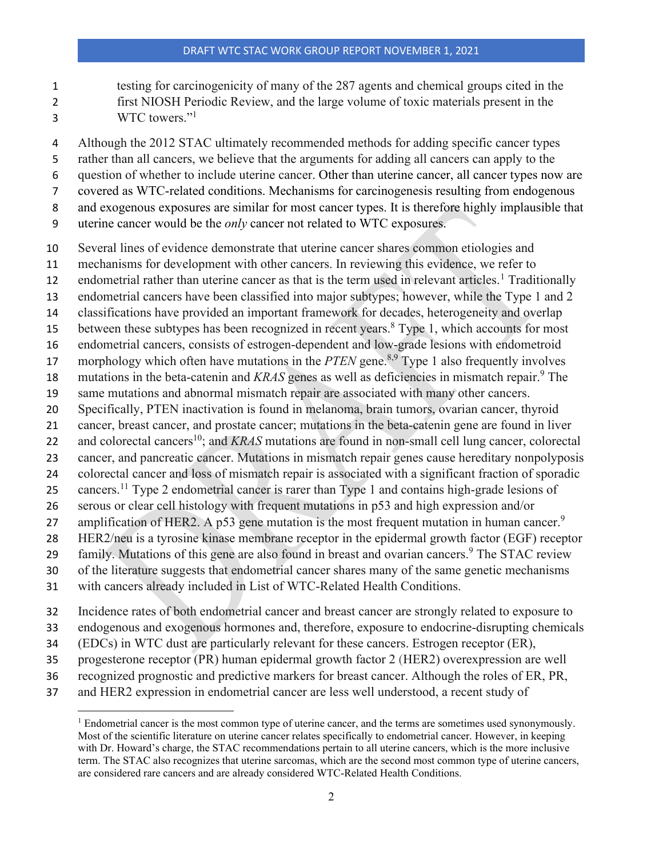testing for carcinogenicity of many of the 287 agents and chemical groups cited in the

- first NIOSH Periodic Review, and the large volume of toxic materials present in the
- 3 WTC towers."<sup>1</sup>
- 4 Although the 2012 STAC ultimately recommended methods for adding specific cancer types
- rather than all cancers, we believe that the arguments for adding all cancers can apply to the
- question of whether to include uterine cancer. Other than uterine cancer, all cancer types now are
- covered as WTC-related conditions. Mechanisms for carcinogenesis resulting from endogenous
- and exogenous exposures are similar for most cancer types. It is therefore highly implausible that
- uterine cancer would be the *only* cancer not related to WTC exposures.
- Several lines of evidence demonstrate that uterine cancer shares common etiologies and
- mechanisms for development with other cancers. In reviewing this evidence, we refer to
- 2 endometrial rather than uterine cancer as that is the term used in relevant articles.<sup>1</sup> Traditionally
- endometrial cancers have been classified into major subtypes; however, while the Type 1 and 2
- classifications have provided an important framework for decades, heterogeneity and overlap
- 15 between these subtypes has been recognized in recent years. Type 1, which accounts for most
- endometrial cancers, consists of estrogen-dependent and low-grade lesions with endometroid
- 17 morphology which often have mutations in the *PTEN* gene.<sup>8,9</sup> Type 1 also frequently involves
- 18 mutations in the beta-catenin and *KRAS* genes as well as deficiencies in mismatch repair.<sup>9</sup> The
- same mutations and abnormal mismatch repair are associated with many other cancers.
- Specifically, PTEN inactivation is found in melanoma, brain tumors, ovarian cancer, thyroid
- cancer, breast cancer, and prostate cancer; mutations in the beta-catenin gene are found in liver
- 22 and colorectal cancers<sup>10</sup>; and *KRAS* mutations are found in non-small cell lung cancer, colorectal
- cancer, and pancreatic cancer. Mutations in mismatch repair genes cause hereditary nonpolyposis
- colorectal cancer and loss of mismatch repair is associated with a significant fraction of sporadic
- 25 cancers.<sup>11</sup> Type 2 endometrial cancer is rarer than Type 1 and contains high-grade lesions of
- serous or clear cell histology with frequent mutations in p53 and high expression and/or
- 27 amplification of HER2. A p53 gene mutation is the most frequent mutation in human cancer.<sup>9</sup> HER2/neu is a tyrosine kinase membrane receptor in the epidermal growth factor (EGF) receptor
- family. Mutations of this gene are also found in breast and ovarian cancers.<sup>9</sup> The STAC review
- 
- of the literature suggests that endometrial cancer shares many of the same genetic mechanisms
- with cancers already included in List of WTC-Related Health Conditions.
- Incidence rates of both endometrial cancer and breast cancer are strongly related to exposure to
- endogenous and exogenous hormones and, therefore, exposure to endocrine-disrupting chemicals
- (EDCs) in WTC dust are particularly relevant for these cancers. Estrogen receptor (ER),
- progesterone receptor (PR) human epidermal growth factor 2 (HER2) overexpression are well
- recognized prognostic and predictive markers for breast cancer. Although the roles of ER, PR,
- <span id="page-1-0"></span>and HER2 expression in endometrial cancer are less well understood, a recent study of

<sup>&</sup>lt;sup>1</sup> Endometrial cancer is the most common type of uterine cancer, and the terms are sometimes used synonymously. Most of the scientific literature on uterine cancer relates specifically to endometrial cancer. However, in keeping with Dr. Howard's charge, the STAC recommendations pertain to all uterine cancers, which is the more inclusive term. The STAC also recognizes that uterine sarcomas, which are the second most common type of uterine cancers, are considered rare cancers and are already considered WTC-Related Health Conditions.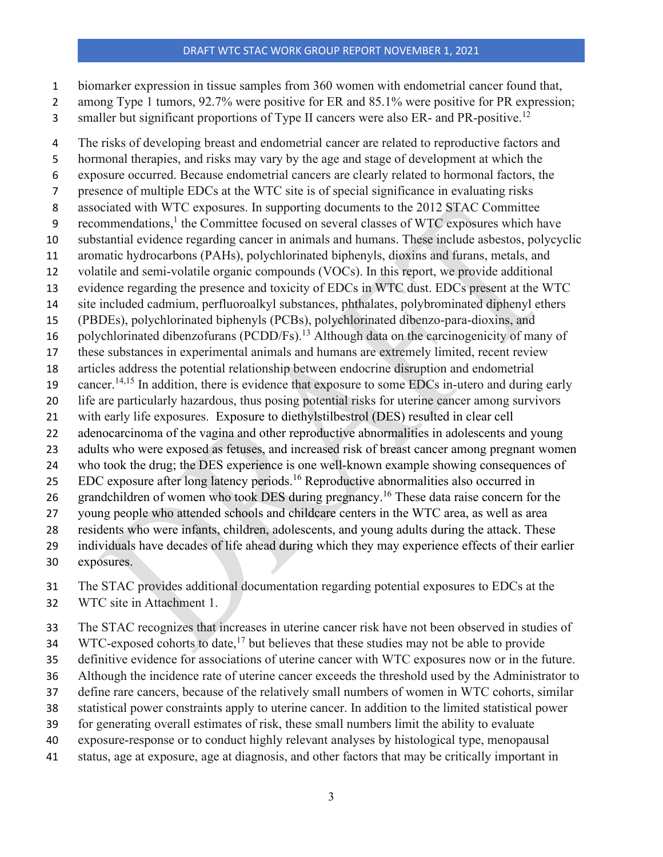- biomarker expression in tissue samples from 360 women with endometrial cancer found that,
- 2 among Type 1 tumors, 92.7% were positive for ER and 85.1% were positive for PR expression;
- 3 smaller but significant proportions of Type II cancers were also ER- and PR-positive.<sup>12</sup>

 The risks of developing breast and endometrial cancer are related to reproductive factors and hormonal therapies, and risks may vary by the age and stage of development at which the exposure occurred. Because endometrial cancers are clearly related to hormonal factors, the presence of multiple EDCs at the WTC site is of special significance in evaluating risks associated with WTC exposures. In supporting documents to the 2012 STAC Committee 9 recommendations, $<sup>1</sup>$  the Committee focused on several classes of WTC exposures which have</sup> substantial evidence regarding cancer in animals and humans. These include asbestos, polycyclic aromatic hydrocarbons (PAHs), polychlorinated biphenyls, dioxins and furans, metals, and volatile and semi-volatile organic compounds (VOCs). In this report, we provide additional evidence regarding the presence and toxicity of EDCs in WTC dust. EDCs present at the WTC site included cadmium, perfluoroalkyl substances, phthalates, polybrominated diphenyl ethers (PBDEs), polychlorinated biphenyls (PCBs), polychlorinated dibenzo-para-dioxins, and 16 polychlorinated dibenzofurans (PCDD/Fs).<sup>13</sup> Although data on the carcinogenicity of many of these substances in experimental animals and humans are extremely limited, recent review articles address the potential relationship between endocrine disruption and endometrial 19 cancer.<sup>14,15</sup> In addition, there is evidence that exposure to some EDCs in-utero and during early life are particularly hazardous, thus posing potential risks for uterine cancer among survivors with early life exposures. Exposure to diethylstilbestrol (DES) resulted in clear cell adenocarcinoma of the vagina and other reproductive abnormalities in adolescents and young adults who were exposed as fetuses, and increased risk of breast cancer among pregnant women who took the drug; the DES experience is one well-known example showing consequences of 25 EDC exposure after long latency periods.<sup>16</sup> Reproductive abnormalities also occurred in 26 grandchildren of women who took DES during pregnancy.<sup>16</sup> These data raise concern for the young people who attended schools and childcare centers in the WTC area, as well as area residents who were infants, children, adolescents, and young adults during the attack. These individuals have decades of life ahead during which they may experience effects of their earlier exposures.

The STAC provides additional documentation regarding potential exposures to EDCs at the

WTC site in Attachment 1.

The STAC recognizes that increases in uterine cancer risk have not been observed in studies of

WTC-exposed cohorts to date,<sup>17</sup> but believes that these studies may not be able to provide

definitive evidence for associations of uterine cancer with WTC exposures now or in the future.

Although the incidence rate of uterine cancer exceeds the threshold used by the Administrator to

- define rare cancers, because of the relatively small numbers of women in WTC cohorts, similar
- statistical power constraints apply to uterine cancer. In addition to the limited statistical power
- for generating overall estimates of risk, these small numbers limit the ability to evaluate

exposure-response or to conduct highly relevant analyses by histological type, menopausal

status, age at exposure, age at diagnosis, and other factors that may be critically important in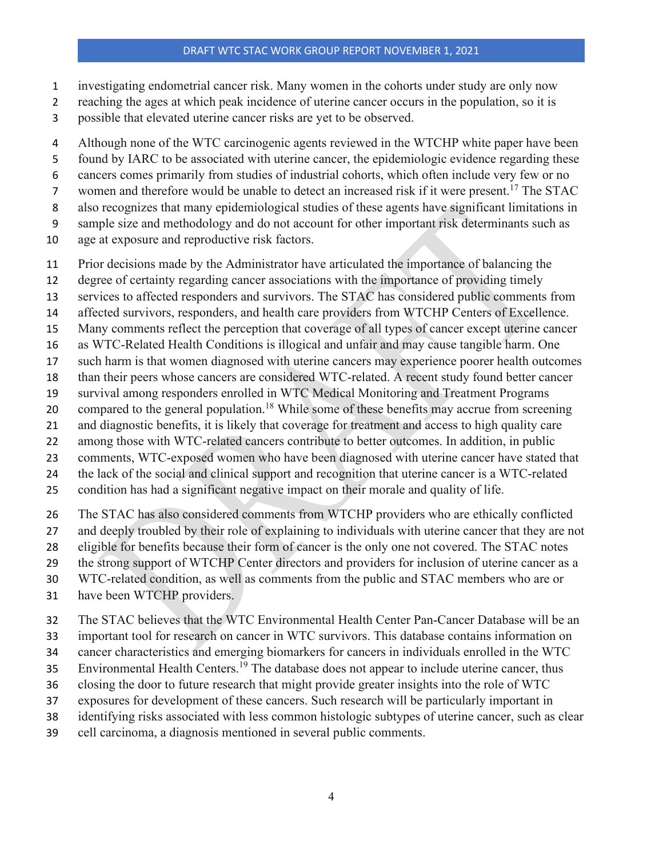- investigating endometrial cancer risk. Many women in the cohorts under study are only now
- reaching the ages at which peak incidence of uterine cancer occurs in the population, so it is
- possible that elevated uterine cancer risks are yet to be observed.
- 4 Although none of the WTC carcinogenic agents reviewed in the WTCHP white paper have been
- found by IARC to be associated with uterine cancer, the epidemiologic evidence regarding these
- cancers comes primarily from studies of industrial cohorts, which often include very few or no
- 7 women and therefore would be unable to detect an increased risk if it were present.<sup>17</sup> The STAC
- also recognizes that many epidemiological studies of these agents have significant limitations in
- sample size and methodology and do not account for other important risk determinants such as
- age at exposure and reproductive risk factors.
- Prior decisions made by the Administrator have articulated the importance of balancing the
- degree of certainty regarding cancer associations with the importance of providing timely
- services to affected responders and survivors. The STAC has considered public comments from
- 14 affected survivors, responders, and health care providers from WTCHP Centers of Excellence.
- Many comments reflect the perception that coverage of all types of cancer except uterine cancer
- as WTC-Related Health Conditions is illogical and unfair and may cause tangible harm. One
- such harm is that women diagnosed with uterine cancers may experience poorer health outcomes
- than their peers whose cancers are considered WTC-related. A recent study found better cancer
- survival among responders enrolled in WTC Medical Monitoring and Treatment Programs
- 20 compared to the general population.<sup>18</sup> While some of these benefits may accrue from screening
- and diagnostic benefits, it is likely that coverage for treatment and access to high quality care
- among those with WTC-related cancers contribute to better outcomes. In addition, in public
- comments, WTC-exposed women who have been diagnosed with uterine cancer have stated that
- the lack of the social and clinical support and recognition that uterine cancer is a WTC-related
- condition has had a significant negative impact on their morale and quality of life.
- The STAC has also considered comments from WTCHP providers who are ethically conflicted
- and deeply troubled by their role of explaining to individuals with uterine cancer that they are not
- eligible for benefits because their form of cancer is the only one not covered. The STAC notes
- the strong support of WTCHP Center directors and providers for inclusion of uterine cancer as a
- WTC-related condition, as well as comments from the public and STAC members who are or
- have been WTCHP providers.
- The STAC believes that the WTC Environmental Health Center Pan-Cancer Database will be an
- important tool for research on cancer in WTC survivors. This database contains information on
- cancer characteristics and emerging biomarkers for cancers in individuals enrolled in the WTC
- 35 Environmental Health Centers.<sup>19</sup> The database does not appear to include uterine cancer, thus
- closing the door to future research that might provide greater insights into the role of WTC
- exposures for development of these cancers. Such research will be particularly important in
- identifying risks associated with less common histologic subtypes of uterine cancer, such as clear
- cell carcinoma, a diagnosis mentioned in several public comments.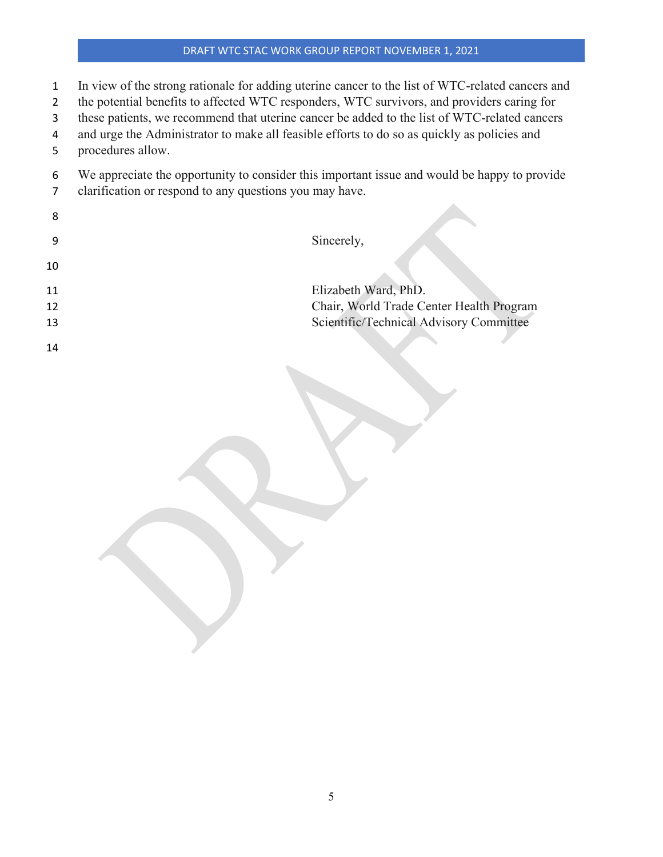- In view of the strong rationale for adding uterine cancer to the list of WTC-related cancers and
- the potential benefits to affected WTC responders, WTC survivors, and providers caring for
- these patients, we recommend that uterine cancer be added to the list of WTC-related cancers
- and urge the Administrator to make all feasible efforts to do so as quickly as policies and
- procedures allow.
- We appreciate the opportunity to consider this important issue and would be happy to provide
- clarification or respond to any questions you may have.

| 8  |                                          |
|----|------------------------------------------|
| 9  | Sincerely,                               |
| 10 |                                          |
| 11 | Elizabeth Ward, PhD.                     |
| 12 | Chair, World Trade Center Health Program |
| 13 | Scientific/Technical Advisory Committee  |
| 14 |                                          |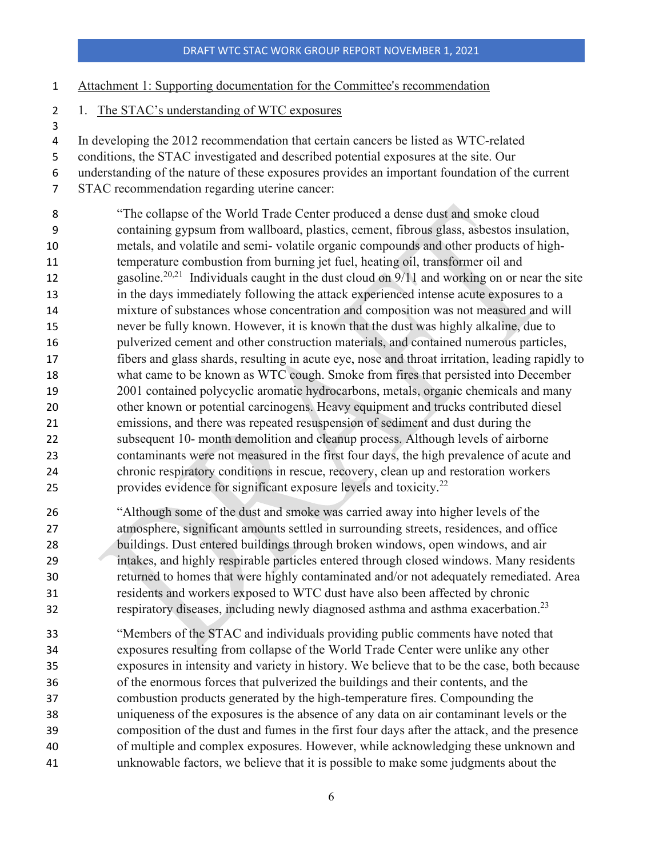- Attachment 1: Supporting documentation for the Committee's recommendation
- 1. The STAC's understanding of WTC exposures

- In developing the 2012 recommendation that certain cancers be listed as WTC-related
- conditions, the STAC investigated and described potential exposures at the site. Our
- understanding of the nature of these exposures provides an important foundation of the current
- STAC recommendation regarding uterine cancer:
- "The collapse of the World Trade Center produced a dense dust and smoke cloud containing gypsum from wallboard, plastics, cement, fibrous glass, asbestos insulation, metals, and volatile and semi- volatile organic compounds and other products of high- temperature combustion from burning jet fuel, heating oil, transformer oil and 12 gasoline.<sup>20,21</sup> Individuals caught in the dust cloud on  $9/11$  and working on or near the site in the days immediately following the attack experienced intense acute exposures to a mixture of substances whose concentration and composition was not measured and will never be fully known. However, it is known that the dust was highly alkaline, due to pulverized cement and other construction materials, and contained numerous particles, fibers and glass shards, resulting in acute eye, nose and throat irritation, leading rapidly to what came to be known as WTC cough. Smoke from fires that persisted into December 2001 contained polycyclic aromatic hydrocarbons, metals, organic chemicals and many other known or potential carcinogens. Heavy equipment and trucks contributed diesel emissions, and there was repeated resuspension of sediment and dust during the subsequent 10- month demolition and cleanup process. Although levels of airborne contaminants were not measured in the first four days, the high prevalence of acute and chronic respiratory conditions in rescue, recovery, clean up and restoration workers 25 provides evidence for significant exposure levels and toxicity. $^{22}$
- "Although some of the dust and smoke was carried away into higher levels of the atmosphere, significant amounts settled in surrounding streets, residences, and office buildings. Dust entered buildings through broken windows, open windows, and air intakes, and highly respirable particles entered through closed windows. Many residents returned to homes that were highly contaminated and/or not adequately remediated. Area residents and workers exposed to WTC dust have also been affected by chronic respiratory diseases, including newly diagnosed asthma and asthma exacerbation. <sup>23</sup>
- "Members of the STAC and individuals providing public comments have noted that exposures resulting from collapse of the World Trade Center were unlike any other exposures in intensity and variety in history. We believe that to be the case, both because of the enormous forces that pulverized the buildings and their contents, and the combustion products generated by the high-temperature fires. Compounding the uniqueness of the exposures is the absence of any data on air contaminant levels or the composition of the dust and fumes in the first four days after the attack, and the presence of multiple and complex exposures. However, while acknowledging these unknown and unknowable factors, we believe that it is possible to make some judgments about the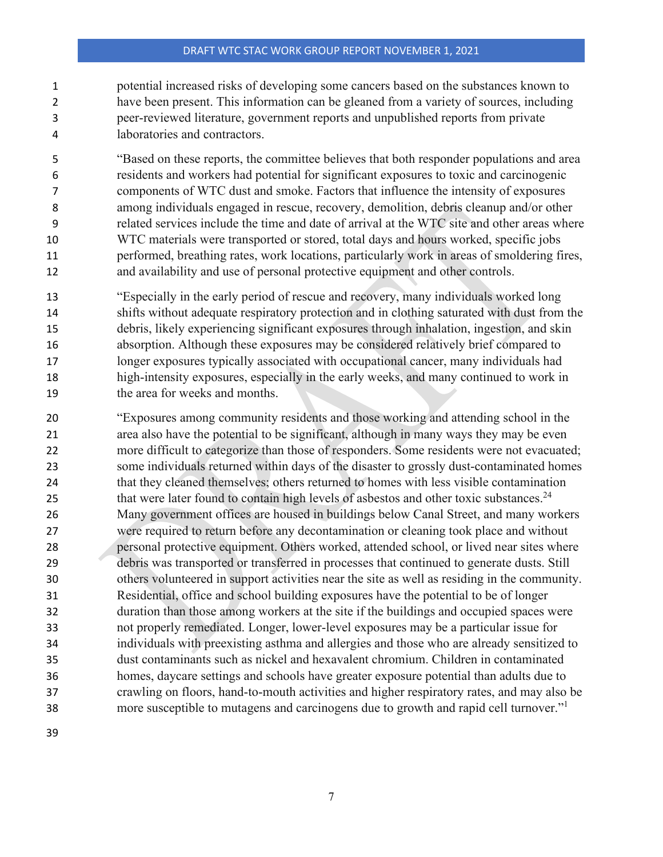potential increased risks of developing some cancers based on the substances known to have been present. This information can be gleaned from a variety of sources, including peer-reviewed literature, government reports and unpublished reports from private laboratories and contractors.

 "Based on these reports, the committee believes that both responder populations and area residents and workers had potential for significant exposures to toxic and carcinogenic components of WTC dust and smoke. Factors that influence the intensity of exposures among individuals engaged in rescue, recovery, demolition, debris cleanup and/or other related services include the time and date of arrival at the WTC site and other areas where WTC materials were transported or stored, total days and hours worked, specific jobs performed, breathing rates, work locations, particularly work in areas of smoldering fires, and availability and use of personal protective equipment and other controls.

- "Especially in the early period of rescue and recovery, many individuals worked long shifts without adequate respiratory protection and in clothing saturated with dust from the debris, likely experiencing significant exposures through inhalation, ingestion, and skin absorption. Although these exposures may be considered relatively brief compared to longer exposures typically associated with occupational cancer, many individuals had high-intensity exposures, especially in the early weeks, and many continued to work in 19 the area for weeks and months.
- "Exposures among community residents and those working and attending school in the area also have the potential to be significant, although in many ways they may be even more difficult to categorize than those of responders. Some residents were not evacuated; some individuals returned within days of the disaster to grossly dust-contaminated homes that they cleaned themselves; others returned to homes with less visible contamination 25 that were later found to contain high levels of asbestos and other toxic substances.<sup>24</sup> Many government offices are housed in buildings below Canal Street, and many workers were required to return before any decontamination or cleaning took place and without personal protective equipment. Others worked, attended school, or lived near sites where debris was transported or transferred in processes that continued to generate dusts. Still others volunteered in support activities near the site as well as residing in the community. Residential, office and school building exposures have the potential to be of longer duration than those among workers at the site if the buildings and occupied spaces were not properly remediated. Longer, lower-level exposures may be a particular issue for individuals with preexisting asthma and allergies and those who are already sensitized to dust contaminants such as nickel and hexavalent chromium. Children in contaminated homes, daycare settings and schools have greater exposure potential than adults due to crawling on floors, hand-to-mouth activities and higher respiratory rates, and may also be more susceptible to mutagens and carcinogens due to growth and rapid cell turnover."1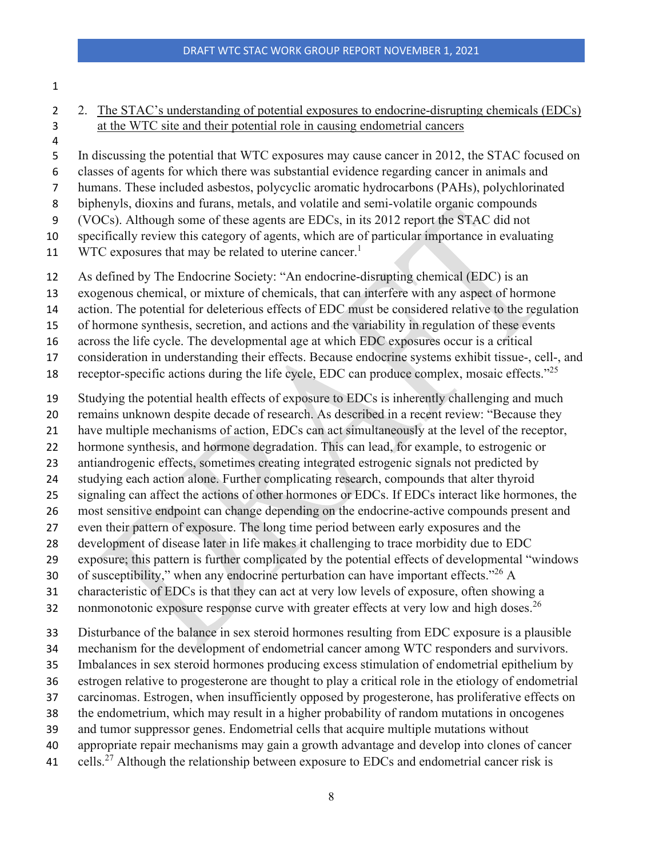- 
- 2 2. The STAC's understanding of potential exposures to endocrine-disrupting chemicals (EDCs) at the WTC site and their potential role in causing endometrial cancers
- 

In discussing the potential that WTC exposures may cause cancer in 2012, the STAC focused on

classes of agents for which there was substantial evidence regarding cancer in animals and

 humans. These included asbestos, polycyclic aromatic hydrocarbons (PAHs), polychlorinated biphenyls, dioxins and furans, metals, and volatile and semi-volatile organic compounds

(VOCs). Although some of these agents are EDCs, in its 2012 report the STAC did not

specifically review this category of agents, which are of particular importance in evaluating

11 WTC exposures that may be related to uterine cancer.<sup>1</sup>

As defined by The Endocrine Society: "An endocrine-disrupting chemical (EDC) is an

exogenous chemical, or mixture of chemicals, that can interfere with any aspect of hormone

action. The potential for deleterious effects of EDC must be considered relative to the regulation

of hormone synthesis, secretion, and actions and the variability in regulation of these events

across the life cycle. The developmental age at which EDC exposures occur is a critical

consideration in understanding their effects. Because endocrine systems exhibit tissue-, cell-, and

18 receptor-specific actions during the life cycle, EDC can produce complex, mosaic effects."<sup>25</sup>

Studying the potential health effects of exposure to EDCs is inherently challenging and much

remains unknown despite decade of research. As described in a recent review: "Because they

have multiple mechanisms of action, EDCs can act simultaneously at the level of the receptor,

hormone synthesis, and hormone degradation. This can lead, for example, to estrogenic or

antiandrogenic effects, sometimes creating integrated estrogenic signals not predicted by

studying each action alone. Further complicating research, compounds that alter thyroid

signaling can affect the actions of other hormones or EDCs. If EDCs interact like hormones, the

most sensitive endpoint can change depending on the endocrine-active compounds present and

even their pattern of exposure. The long time period between early exposures and the

development of disease later in life makes it challenging to trace morbidity due to EDC

exposure; this pattern is further complicated by the potential effects of developmental "windows

30 of susceptibility," when any endocrine perturbation can have important effects." $^{26}$  A

characteristic of EDCs is that they can act at very low levels of exposure, often showing a

32 nonmonotonic exposure response curve with greater effects at very low and high doses.<sup>26</sup>

Disturbance of the balance in sex steroid hormones resulting from EDC exposure is a plausible

mechanism for the development of endometrial cancer among WTC responders and survivors.

Imbalances in sex steroid hormones producing excess stimulation of endometrial epithelium by

estrogen relative to progesterone are thought to play a critical role in the etiology of endometrial

carcinomas. Estrogen, when insufficiently opposed by progesterone, has proliferative effects on

the endometrium, which may result in a higher probability of random mutations in oncogenes

and tumor suppressor genes. Endometrial cells that acquire multiple mutations without

appropriate repair mechanisms may gain a growth advantage and develop into clones of cancer

41 cells.<sup>27</sup> Although the relationship between exposure to EDCs and endometrial cancer risk is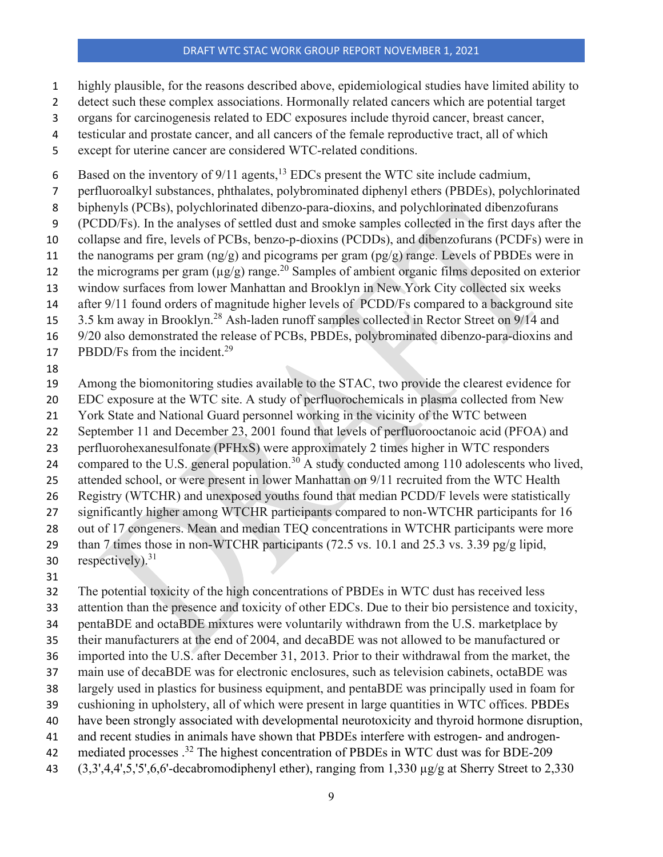- highly plausible, for the reasons described above, epidemiological studies have limited ability to
- 2 detect such these complex associations. Hormonally related cancers which are potential target
- organs for carcinogenesis related to EDC exposures include thyroid cancer, breast cancer,
- testicular and prostate cancer, and all cancers of the female reproductive tract, all of which
- except for uterine cancer are considered WTC-related conditions.

6 Based on the inventory of  $9/11$  agents,<sup>13</sup> EDCs present the WTC site include cadmium,

- perfluoroalkyl substances, phthalates, polybrominated diphenyl ethers (PBDEs), polychlorinated
- biphenyls (PCBs), polychlorinated dibenzo-para-dioxins, and polychlorinated dibenzofurans
- (PCDD/Fs). In the analyses of settled dust and smoke samples collected in the first days after the
- collapse and fire, levels of PCBs, benzo-p-dioxins (PCDDs), and dibenzofurans (PCDFs) were in
- 11 the nanograms per gram  $(ng/g)$  and picograms per gram  $(pg/g)$  range. Levels of PBDEs were in the micrograms per gram  $(\mu g/g)$  range.<sup>20</sup> Samples of ambient organic films deposited on exterior
- window surfaces from lower Manhattan and Brooklyn in New York City collected six weeks

14 after 9/11 found orders of magnitude higher levels of PCDD/Fs compared to a background site

- 
- 15 3.5 km away in Brooklyn.<sup>28</sup> Ash-laden runoff samples collected in Rector Street on 9/14 and 9/20 also demonstrated the release of PCBs, PBDEs, polybrominated dibenzo-para-dioxins and
- 17 PBDD/Fs from the incident.<sup>29</sup>
- 
- Among the biomonitoring studies available to the STAC, two provide the clearest evidence for
- EDC exposure at the WTC site. A study of perfluorochemicals in plasma collected from New
- York State and National Guard personnel working in the vicinity of the WTC between
- September 11 and December 23, 2001 found that levels of perfluorooctanoic acid (PFOA) and
- perfluorohexanesulfonate (PFHxS) were approximately 2 times higher in WTC responders
- 24 compared to the U.S. general population.<sup>30</sup> A study conducted among 110 adolescents who lived,
- attended school, or were present in lower Manhattan on 9/11 recruited from the WTC Health
- Registry (WTCHR) and unexposed youths found that median PCDD/F levels were statistically
- significantly higher among WTCHR participants compared to non-WTCHR participants for 16
- out of 17 congeners. Mean and median TEQ concentrations in WTCHR participants were more
- than 7 times those in non-WTCHR participants (72.5 vs. 10.1 and 25.3 vs. 3.39 pg/g lipid,
- 30 respectively).
- 

The potential toxicity of the high concentrations of PBDEs in WTC dust has received less

- attention than the presence and toxicity of other EDCs. Due to their bio persistence and toxicity,
- pentaBDE and octaBDE mixtures were voluntarily withdrawn from the U.S. marketplace by
- their manufacturers at the end of 2004, and decaBDE was not allowed to be manufactured or
- imported into the U.S. after December 31, 2013. Prior to their withdrawal from the market, the
- main use of decaBDE was for electronic enclosures, such as television cabinets, octaBDE was
- largely used in plastics for business equipment, and pentaBDE was principally used in foam for
- cushioning in upholstery, all of which were present in large quantities in WTC offices. PBDEs
- have been strongly associated with developmental neurotoxicity and thyroid hormone disruption,
- and recent studies in animals have shown that PBDEs interfere with estrogen- and androgen-
- 42 mediated processes .<sup>32</sup> The highest concentration of PBDEs in WTC dust was for BDE-209
- (3,3',4,4',5,'5',6,6'-decabromodiphenyl ether), ranging from 1,330 µg/g at Sherry Street to 2,330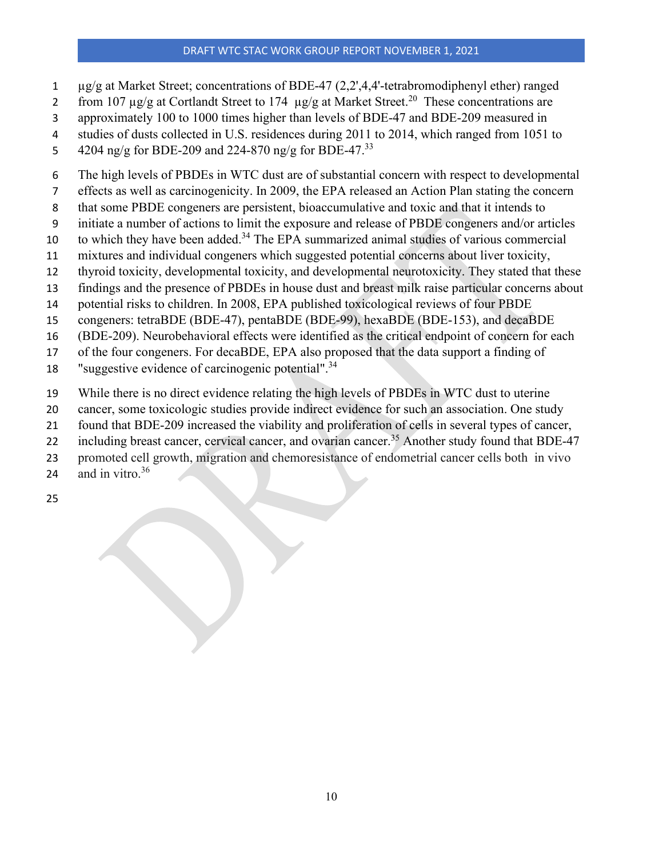- µg/g at Market Street; concentrations of BDE-47 (2,2',4,4'-tetrabromodiphenyl ether) ranged
- 2 from 107  $\mu$ g/g at Cortlandt Street to 174  $\mu$ g/g at Market Street.<sup>20</sup> These concentrations are
- approximately 100 to 1000 times higher than levels of BDE-47 and BDE-209 measured in
- studies of dusts collected in U.S. residences during 2011 to 2014, which ranged from 1051 to
- 5 4204 ng/g for BDE-209 and 224-870 ng/g for BDE-47.<sup>33</sup>
- The high levels of PBDEs in WTC dust are of substantial concern with respect to developmental
- effects as well as carcinogenicity. In 2009, the EPA released an Action Plan stating the concern
- that some PBDE congeners are persistent, bioaccumulative and toxic and that it intends to
- initiate a number of actions to limit the exposure and release of PBDE congeners and/or articles
- to which they have been added.<sup>34</sup> The EPA summarized animal studies of various commercial
- mixtures and individual congeners which suggested potential concerns about liver toxicity,
- thyroid toxicity, developmental toxicity, and developmental neurotoxicity. They stated that these
- findings and the presence of PBDEs in house dust and breast milk raise particular concerns about
- potential risks to children. In 2008, EPA published toxicological reviews of four PBDE
- congeners: tetraBDE (BDE-47), pentaBDE (BDE-99), hexaBDE (BDE-153), and decaBDE
- (BDE-209). Neurobehavioral effects were identified as the critical endpoint of concern for each
- of the four congeners. For decaBDE, EPA also proposed that the data support a finding of
- 18 "suggestive evidence of carcinogenic potential".<sup>34</sup>
- While there is no direct evidence relating the high levels of PBDEs in WTC dust to uterine
- cancer, some toxicologic studies provide indirect evidence for such an association. One study
- found that BDE-209 increased the viability and proliferation of cells in several types of cancer,
- 22 including breast cancer, cervical cancer, and ovarian cancer.<sup>35</sup> Another study found that BDE-47
- promoted cell growth, migration and chemoresistance of endometrial cancer cells both in vivo
- 24 and in vitro.
-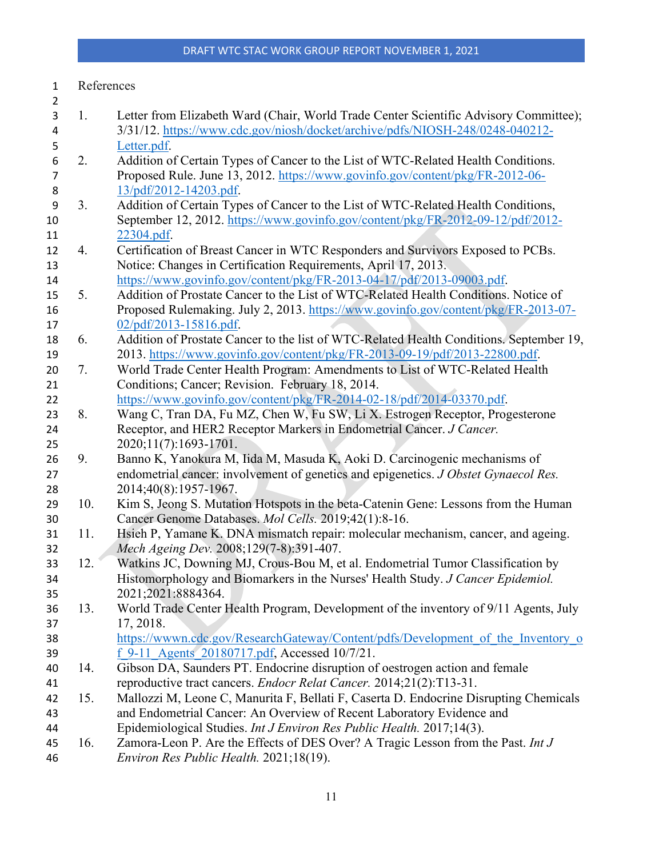# References

| $\overline{2}$   |     |                                                                                         |
|------------------|-----|-----------------------------------------------------------------------------------------|
| 3                | 1.  | Letter from Elizabeth Ward (Chair, World Trade Center Scientific Advisory Committee);   |
| 4                |     | 3/31/12. https://www.cdc.gov/niosh/docket/archive/pdfs/NIOSH-248/0248-040212-           |
| 5                |     | Letter.pdf.                                                                             |
| $\boldsymbol{6}$ | 2.  | Addition of Certain Types of Cancer to the List of WTC-Related Health Conditions.       |
| $\overline{7}$   |     | Proposed Rule. June 13, 2012. https://www.govinfo.gov/content/pkg/FR-2012-06-           |
| 8                |     | 13/pdf/2012-14203.pdf.                                                                  |
| 9                | 3.  | Addition of Certain Types of Cancer to the List of WTC-Related Health Conditions,       |
| 10               |     | September 12, 2012. https://www.govinfo.gov/content/pkg/FR-2012-09-12/pdf/2012-         |
| 11               |     | 22304.pdf.                                                                              |
| 12               | 4.  | Certification of Breast Cancer in WTC Responders and Survivors Exposed to PCBs.         |
| 13               |     | Notice: Changes in Certification Requirements, April 17, 2013.                          |
| 14               |     | https://www.govinfo.gov/content/pkg/FR-2013-04-17/pdf/2013-09003.pdf.                   |
| 15               | 5.  | Addition of Prostate Cancer to the List of WTC-Related Health Conditions. Notice of     |
| 16               |     | Proposed Rulemaking. July 2, 2013. https://www.govinfo.gov/content/pkg/FR-2013-07-      |
| 17               |     | 02/pdf/2013-15816.pdf.                                                                  |
| 18               | 6.  | Addition of Prostate Cancer to the list of WTC-Related Health Conditions. September 19, |
| 19               |     | 2013. https://www.govinfo.gov/content/pkg/FR-2013-09-19/pdf/2013-22800.pdf.             |
| 20               | 7.  | World Trade Center Health Program: Amendments to List of WTC-Related Health             |
| 21               |     | Conditions; Cancer; Revision. February 18, 2014.                                        |
| 22               |     | https://www.govinfo.gov/content/pkg/FR-2014-02-18/pdf/2014-03370.pdf.                   |
| 23               | 8.  | Wang C, Tran DA, Fu MZ, Chen W, Fu SW, Li X. Estrogen Receptor, Progesterone            |
| 24               |     | Receptor, and HER2 Receptor Markers in Endometrial Cancer. J Cancer.                    |
| 25               |     | 2020;11(7):1693-1701.                                                                   |
| 26               | 9.  | Banno K, Yanokura M, Iida M, Masuda K, Aoki D. Carcinogenic mechanisms of               |
| 27               |     | endometrial cancer: involvement of genetics and epigenetics. J Obstet Gynaecol Res.     |
| 28               |     | 2014;40(8):1957-1967.                                                                   |
| 29               | 10. | Kim S, Jeong S. Mutation Hotspots in the beta-Catenin Gene: Lessons from the Human      |
| 30               |     | Cancer Genome Databases. Mol Cells. 2019;42(1):8-16.                                    |
| 31               | 11. | Hsieh P, Yamane K. DNA mismatch repair: molecular mechanism, cancer, and ageing.        |
| 32               |     | Mech Ageing Dev. 2008;129(7-8):391-407.                                                 |
| 33               | 12. | Watkins JC, Downing MJ, Crous-Bou M, et al. Endometrial Tumor Classification by         |
| 34               |     | Histomorphology and Biomarkers in the Nurses' Health Study. J Cancer Epidemiol.         |
| 35               |     | 2021;2021:8884364.                                                                      |
| 36               | 13. | World Trade Center Health Program, Development of the inventory of 9/11 Agents, July    |
| 37               |     | 17, 2018.                                                                               |
| 38               |     | https://wwwn.cdc.gov/ResearchGateway/Content/pdfs/Development of the Inventory o        |
| 39               |     | f 9-11 Agents 20180717.pdf, Accessed 10/7/21.                                           |
| 40               | 14. | Gibson DA, Saunders PT. Endocrine disruption of oestrogen action and female             |
| 41               |     | reproductive tract cancers. Endocr Relat Cancer. 2014;21(2):T13-31.                     |
| 42               | 15. | Mallozzi M, Leone C, Manurita F, Bellati F, Caserta D. Endocrine Disrupting Chemicals   |
| 43               |     | and Endometrial Cancer: An Overview of Recent Laboratory Evidence and                   |
| 44               |     | Epidemiological Studies. Int J Environ Res Public Health. 2017;14(3).                   |
| 45               | 16. | Zamora-Leon P. Are the Effects of DES Over? A Tragic Lesson from the Past. Int J        |
| 46               |     | Environ Res Public Health. 2021;18(19).                                                 |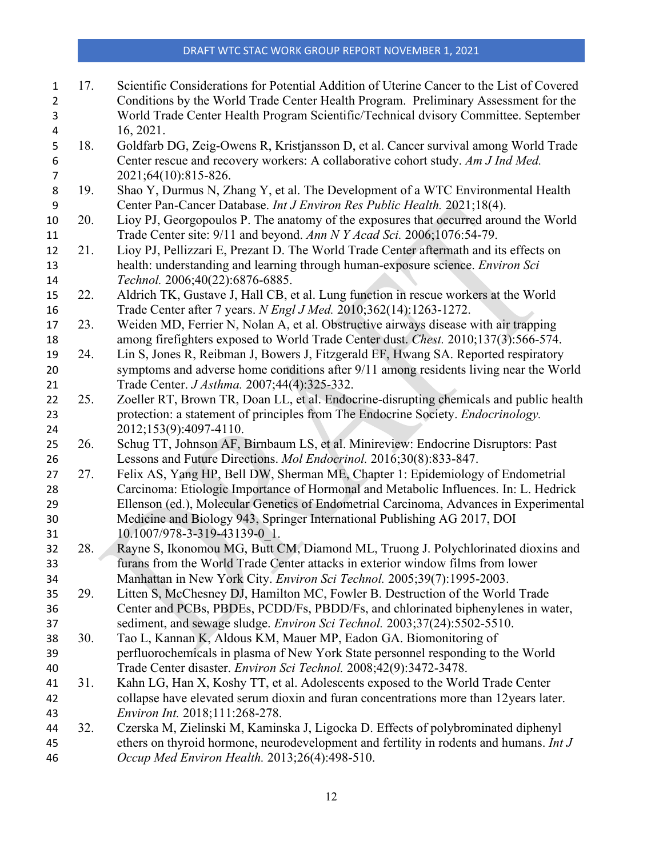| $\mathbf{1}$   | 17. | Scientific Considerations for Potential Addition of Uterine Cancer to the List of Covered |
|----------------|-----|-------------------------------------------------------------------------------------------|
| $\overline{2}$ |     | Conditions by the World Trade Center Health Program. Preliminary Assessment for the       |
| 3              |     | World Trade Center Health Program Scientific/Technical dvisory Committee. September       |
| 4              |     | 16, 2021.                                                                                 |
| 5              | 18. | Goldfarb DG, Zeig-Owens R, Kristjansson D, et al. Cancer survival among World Trade       |
| 6              |     | Center rescue and recovery workers: A collaborative cohort study. Am J Ind Med.           |
| $\overline{7}$ |     | 2021;64(10):815-826.                                                                      |
| 8              | 19. | Shao Y, Durmus N, Zhang Y, et al. The Development of a WTC Environmental Health           |
| 9              |     | Center Pan-Cancer Database. Int J Environ Res Public Health. 2021;18(4).                  |
| 10             | 20. | Lioy PJ, Georgopoulos P. The anatomy of the exposures that occurred around the World      |
| 11             |     | Trade Center site: 9/11 and beyond. Ann N Y Acad Sci. 2006;1076:54-79.                    |
| 12             | 21. | Lioy PJ, Pellizzari E, Prezant D. The World Trade Center aftermath and its effects on     |
| 13             |     | health: understanding and learning through human-exposure science. Environ Sci            |
| 14             |     | Technol. 2006;40(22):6876-6885.                                                           |
| 15             | 22. | Aldrich TK, Gustave J, Hall CB, et al. Lung function in rescue workers at the World       |
| 16             |     | Trade Center after 7 years. N Engl J Med. 2010;362(14):1263-1272.                         |
| 17             | 23. | Weiden MD, Ferrier N, Nolan A, et al. Obstructive airways disease with air trapping       |
| 18             |     | among firefighters exposed to World Trade Center dust. Chest. 2010;137(3):566-574.        |
| 19             | 24. | Lin S, Jones R, Reibman J, Bowers J, Fitzgerald EF, Hwang SA. Reported respiratory        |
| 20             |     | symptoms and adverse home conditions after 9/11 among residents living near the World     |
| 21             |     | Trade Center. J Asthma. 2007;44(4):325-332.                                               |
| 22             | 25. | Zoeller RT, Brown TR, Doan LL, et al. Endocrine-disrupting chemicals and public health    |
| 23             |     | protection: a statement of principles from The Endocrine Society. Endocrinology.          |
| 24             |     | 2012;153(9):4097-4110.                                                                    |
| 25             | 26. | Schug TT, Johnson AF, Birnbaum LS, et al. Minireview: Endocrine Disruptors: Past          |
| 26             |     | Lessons and Future Directions. Mol Endocrinol. 2016;30(8):833-847.                        |
| 27             | 27. | Felix AS, Yang HP, Bell DW, Sherman ME, Chapter 1: Epidemiology of Endometrial            |
| 28             |     | Carcinoma: Etiologic Importance of Hormonal and Metabolic Influences. In: L. Hedrick      |
| 29             |     | Ellenson (ed.), Molecular Genetics of Endometrial Carcinoma, Advances in Experimental     |
| 30             |     | Medicine and Biology 943, Springer International Publishing AG 2017, DOI                  |
| 31             |     | 10.1007/978-3-319-43139-0 1.                                                              |
| 32             | 28. | Rayne S, Ikonomou MG, Butt CM, Diamond ML, Truong J. Polychlorinated dioxins and          |
| 33             |     | furans from the World Trade Center attacks in exterior window films from lower            |
| 34             |     | Manhattan in New York City. Environ Sci Technol. 2005;39(7):1995-2003.                    |
| 35             | 29. | Litten S, McChesney DJ, Hamilton MC, Fowler B. Destruction of the World Trade             |
| 36             |     | Center and PCBs, PBDEs, PCDD/Fs, PBDD/Fs, and chlorinated biphenylenes in water,          |
| 37             |     | sediment, and sewage sludge. Environ Sci Technol. 2003;37(24):5502-5510.                  |
| 38             | 30. | Tao L, Kannan K, Aldous KM, Mauer MP, Eadon GA. Biomonitoring of                          |
| 39             |     | perfluorochemicals in plasma of New York State personnel responding to the World          |
| 40             |     | Trade Center disaster. Environ Sci Technol. 2008;42(9):3472-3478.                         |
| 41             | 31. | Kahn LG, Han X, Koshy TT, et al. Adolescents exposed to the World Trade Center            |
| 42             |     | collapse have elevated serum dioxin and furan concentrations more than 12 years later.    |
| 43             |     | Environ Int. 2018;111:268-278.                                                            |
| 44             | 32. | Czerska M, Zielinski M, Kaminska J, Ligocka D. Effects of polybrominated diphenyl         |
| 45             |     | ethers on thyroid hormone, neurodevelopment and fertility in rodents and humans. Int J    |
| 46             |     | Occup Med Environ Health. 2013;26(4):498-510.                                             |